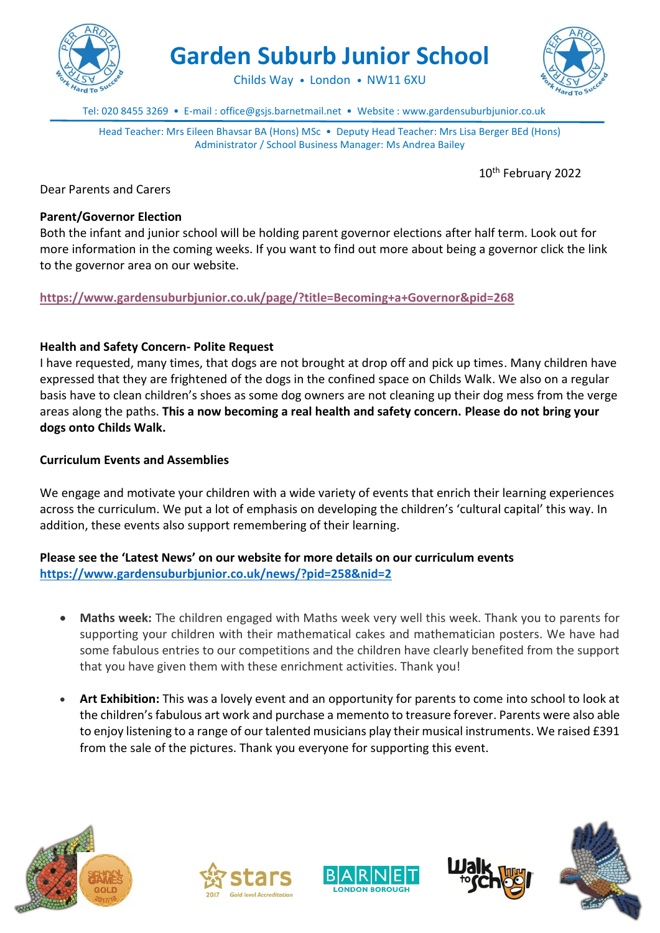

**Garden Suburb Junior School**

Childs Way • London • NW11 6XU

Tel: 020 8455 3269 • E-mail : office@gsjs.barnetmail.net • Website : www.gardensuburbjunior.co.uk

Head Teacher: Mrs Eileen Bhavsar BA (Hons) MSc • Deputy Head Teacher: Mrs Lisa Berger BEd (Hons) Administrator / School Business Manager: Ms Andrea Bailey

10th February 2022

Dear Parents and Carers

#### **Parent/Governor Election**

Both the infant and junior school will be holding parent governor elections after half term. Look out for more information in the coming weeks. If you want to find out more about being a governor click the link to the governor area on our website.

**<https://www.gardensuburbjunior.co.uk/page/?title=Becoming+a+Governor&pid=268>**

### **Health and Safety Concern- Polite Request**

I have requested, many times, that dogs are not brought at drop off and pick up times. Many children have expressed that they are frightened of the dogs in the confined space on Childs Walk. We also on a regular basis have to clean children's shoes as some dog owners are not cleaning up their dog mess from the verge areas along the paths. **This a now becoming a real health and safety concern. Please do not bring your dogs onto Childs Walk.**

#### **Curriculum Events and Assemblies**

We engage and motivate your children with a wide variety of events that enrich their learning experiences across the curriculum. We put a lot of emphasis on developing the children's 'cultural capital' this way. In addition, these events also support remembering of their learning.

## **Please see the 'Latest News' on our website for more details on our curriculum events <https://www.gardensuburbjunior.co.uk/news/?pid=258&nid=2>**

- **Maths week:** The children engaged with Maths week very well this week. Thank you to parents for supporting your children with their mathematical cakes and mathematician posters. We have had some fabulous entries to our competitions and the children have clearly benefited from the support that you have given them with these enrichment activities. Thank you!
- **Art Exhibition:** This was a lovely event and an opportunity for parents to come into school to look at the children's fabulous art work and purchase a memento to treasure forever. Parents were also able to enjoy listening to a range of our talented musicians play their musical instruments. We raised £391 from the sale of the pictures. Thank you everyone for supporting this event.









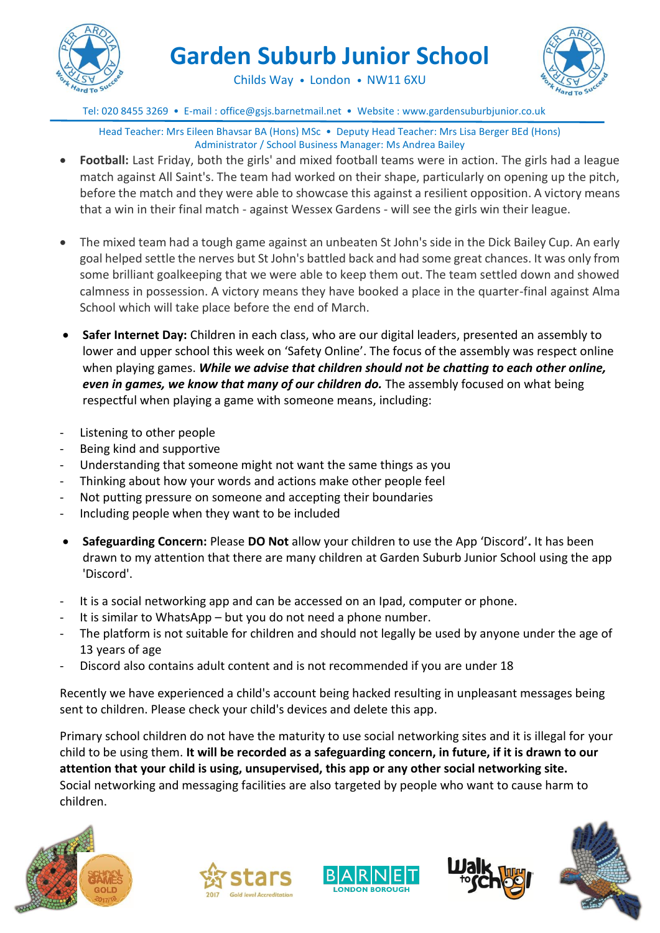

# **Garden Suburb Junior School**



Childs Way • London • NW11 6XU

Tel: 020 8455 3269 • E-mail : office@gsjs.barnetmail.net • Website : www.gardensuburbjunior.co.uk

Head Teacher: Mrs Eileen Bhavsar BA (Hons) MSc • Deputy Head Teacher: Mrs Lisa Berger BEd (Hons) Administrator / School Business Manager: Ms Andrea Bailey

- **Football:** Last Friday, both the girls' and mixed football teams were in action. The girls had a league match against All Saint's. The team had worked on their shape, particularly on opening up the pitch, before the match and they were able to showcase this against a resilient opposition. A victory means that a win in their final match - against Wessex Gardens - will see the girls win their league.
- The mixed team had a tough game against an unbeaten St John's side in the Dick Bailey Cup. An early goal helped settle the nerves but St John's battled back and had some great chances. It was only from some brilliant goalkeeping that we were able to keep them out. The team settled down and showed calmness in possession. A victory means they have booked a place in the quarter-final against Alma School which will take place before the end of March.
- **Safer Internet Day:** Children in each class, who are our digital leaders, presented an assembly to lower and upper school this week on 'Safety Online'. The focus of the assembly was respect online when playing games. *While we advise that children should not be chatting to each other online, even in games, we know that many of our children do.* The assembly focused on what being respectful when playing a game with someone means, including:
- Listening to other people
- Being kind and supportive
- Understanding that someone might not want the same things as you
- Thinking about how your words and actions make other people feel
- Not putting pressure on someone and accepting their boundaries
- Including people when they want to be included
- **Safeguarding Concern:** Please **DO Not** allow your children to use the App 'Discord'**.** It has been drawn to my attention that there are many children at Garden Suburb Junior School using the app 'Discord'.
- It is a social networking app and can be accessed on an Ipad, computer or phone.
- It is similar to WhatsApp but you do not need a phone number.
- The platform is not suitable for children and should not legally be used by anyone under the age of 13 years of age
- Discord also contains adult content and is not recommended if you are under 18

Recently we have experienced a child's account being hacked resulting in unpleasant messages being sent to children. Please check your child's devices and delete this app.

Primary school children do not have the maturity to use social networking sites and it is illegal for your child to be using them. **It will be recorded as a safeguarding concern, in future, if it is drawn to our attention that your child is using, unsupervised, this app or any other social networking site.** Social networking and messaging facilities are also targeted by people who want to cause harm to children.